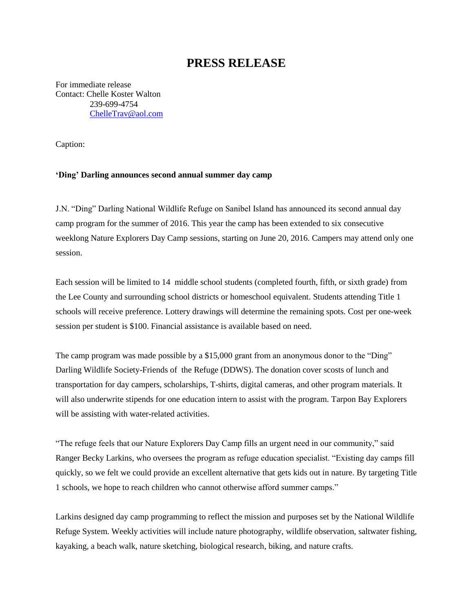## **PRESS RELEASE**

For immediate release Contact: Chelle Koster Walton 239-699-4754 [ChelleTrav@aol.com](mailto:ChelleTrav@aol.com)

Caption:

## **'Ding' Darling announces second annual summer day camp**

J.N. "Ding" Darling National Wildlife Refuge on Sanibel Island has announced its second annual day camp program for the summer of 2016. This year the camp has been extended to six consecutive weeklong Nature Explorers Day Camp sessions, starting on June 20, 2016. Campers may attend only one session.

Each session will be limited to 14 middle school students (completed fourth, fifth, or sixth grade) from the Lee County and surrounding school districts or homeschool equivalent. Students attending Title 1 schools will receive preference. Lottery drawings will determine the remaining spots. Cost per one-week session per student is \$100. Financial assistance is available based on need.

The camp program was made possible by a \$15,000 grant from an anonymous donor to the "Ding" Darling Wildlife Society-Friends of the Refuge (DDWS). The donation cover scosts of lunch and transportation for day campers, scholarships, T-shirts, digital cameras, and other program materials. It will also underwrite stipends for one education intern to assist with the program. Tarpon Bay Explorers will be assisting with water-related activities.

"The refuge feels that our Nature Explorers Day Camp fills an urgent need in our community," said Ranger Becky Larkins, who oversees the program as refuge education specialist. "Existing day camps fill quickly, so we felt we could provide an excellent alternative that gets kids out in nature. By targeting Title 1 schools, we hope to reach children who cannot otherwise afford summer camps."

Larkins designed day camp programming to reflect the mission and purposes set by the National Wildlife Refuge System. Weekly activities will include nature photography, wildlife observation, saltwater fishing, kayaking, a beach walk, nature sketching, biological research, biking, and nature crafts.